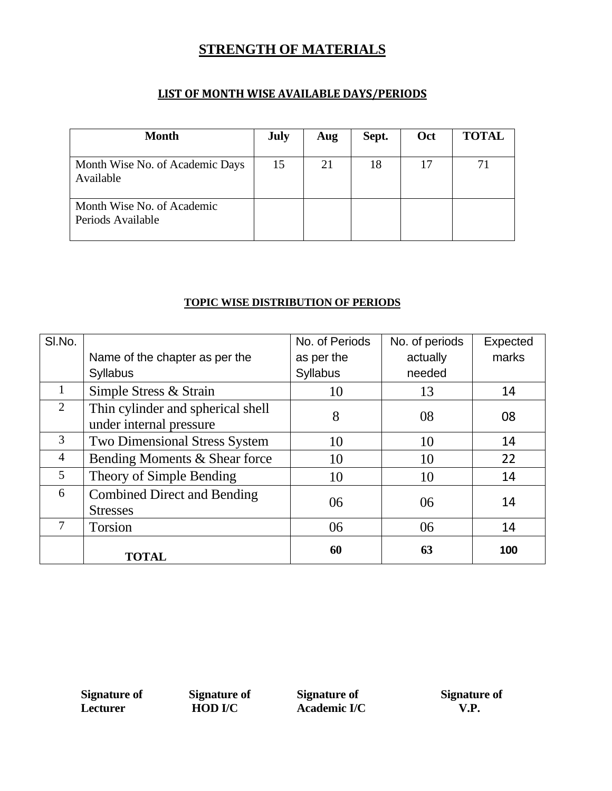#### **STRENGTH OF MATERIALS**

#### **LIST OF MONTH WISE AVAILABLE DAYS/PERIODS**

| <b>Month</b>                                    | <b>July</b> | Aug | Sept. | Oct | <b>TOTAL</b> |
|-------------------------------------------------|-------------|-----|-------|-----|--------------|
| Month Wise No. of Academic Days<br>Available    | 15          | 21  | 18    | 17  |              |
| Month Wise No. of Academic<br>Periods Available |             |     |       |     |              |

#### **TOPIC WISE DISTRIBUTION OF PERIODS**

| SI.No.         |                                                              | No. of Periods  | No. of periods | Expected |
|----------------|--------------------------------------------------------------|-----------------|----------------|----------|
|                | Name of the chapter as per the                               | as per the      | actually       | marks    |
|                | <b>Syllabus</b>                                              | <b>Syllabus</b> | needed         |          |
| 1              | Simple Stress & Strain                                       | 10              | 13             | 14       |
| 2              | Thin cylinder and spherical shell<br>under internal pressure | 8               | 08             | 08       |
| 3              | <b>Two Dimensional Stress System</b>                         | 10              | 10             | 14       |
| $\overline{4}$ | Bending Moments & Shear force                                | 10              | 10             | 22       |
| 5              | Theory of Simple Bending                                     | 10              | 10             | 14       |
| 6              | <b>Combined Direct and Bending</b><br><b>Stresses</b>        | 06              | 06             | 14       |
| 7              | <b>Torsion</b>                                               | 06              | 06             | 14       |
|                | <b>TOTAL</b>                                                 | 60              | 63             | 100      |

**Signature of Signature of Signature of Signature of Lecturer HOD I/C Academic I/C V.P.**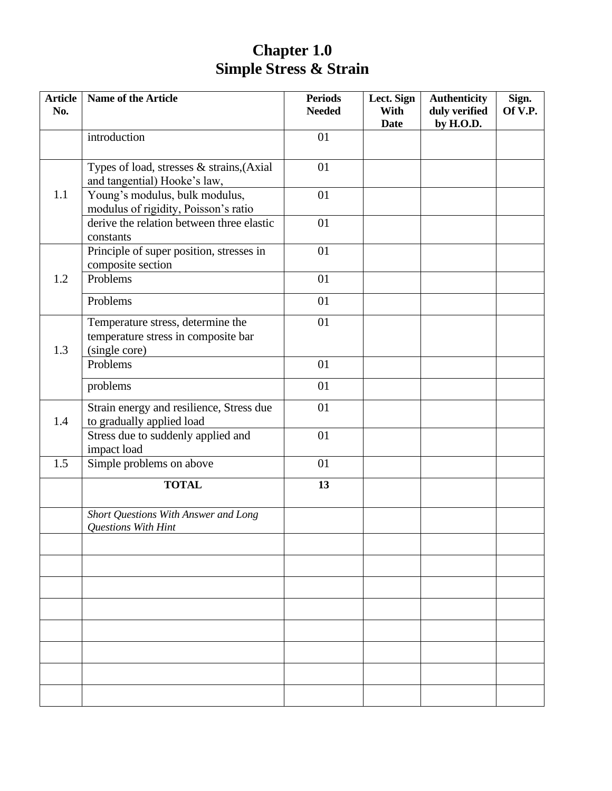### **Chapter 1.0 Simple Stress & Strain**

| <b>Article</b><br>No. | Name of the Article                                                                       | <b>Periods</b><br><b>Needed</b> | Lect. Sign<br>With<br><b>Date</b> | <b>Authenticity</b><br>duly verified<br>by H.O.D. | Sign.<br>Of V.P. |
|-----------------------|-------------------------------------------------------------------------------------------|---------------------------------|-----------------------------------|---------------------------------------------------|------------------|
|                       | introduction                                                                              | 01                              |                                   |                                                   |                  |
|                       | Types of load, stresses & strains, (Axial<br>and tangential) Hooke's law,                 | 01                              |                                   |                                                   |                  |
| 1.1                   | Young's modulus, bulk modulus,<br>modulus of rigidity, Poisson's ratio                    | 01                              |                                   |                                                   |                  |
|                       | derive the relation between three elastic<br>constants                                    | 01                              |                                   |                                                   |                  |
|                       | Principle of super position, stresses in<br>composite section                             | 01                              |                                   |                                                   |                  |
| 1.2                   | Problems                                                                                  | 01                              |                                   |                                                   |                  |
|                       | Problems                                                                                  | 01                              |                                   |                                                   |                  |
| 1.3                   | Temperature stress, determine the<br>temperature stress in composite bar<br>(single core) | 01                              |                                   |                                                   |                  |
|                       | Problems                                                                                  | 01                              |                                   |                                                   |                  |
|                       | problems                                                                                  | 01                              |                                   |                                                   |                  |
| 1.4                   | Strain energy and resilience, Stress due<br>to gradually applied load                     | 01                              |                                   |                                                   |                  |
|                       | Stress due to suddenly applied and<br>impact load                                         | 01                              |                                   |                                                   |                  |
| 1.5                   | Simple problems on above                                                                  | 01                              |                                   |                                                   |                  |
|                       | <b>TOTAL</b>                                                                              | 13                              |                                   |                                                   |                  |
|                       | Short Questions With Answer and Long<br>Questions With Hint                               |                                 |                                   |                                                   |                  |
|                       |                                                                                           |                                 |                                   |                                                   |                  |
|                       |                                                                                           |                                 |                                   |                                                   |                  |
|                       |                                                                                           |                                 |                                   |                                                   |                  |
|                       |                                                                                           |                                 |                                   |                                                   |                  |
|                       |                                                                                           |                                 |                                   |                                                   |                  |
|                       |                                                                                           |                                 |                                   |                                                   |                  |
|                       |                                                                                           |                                 |                                   |                                                   |                  |
|                       |                                                                                           |                                 |                                   |                                                   |                  |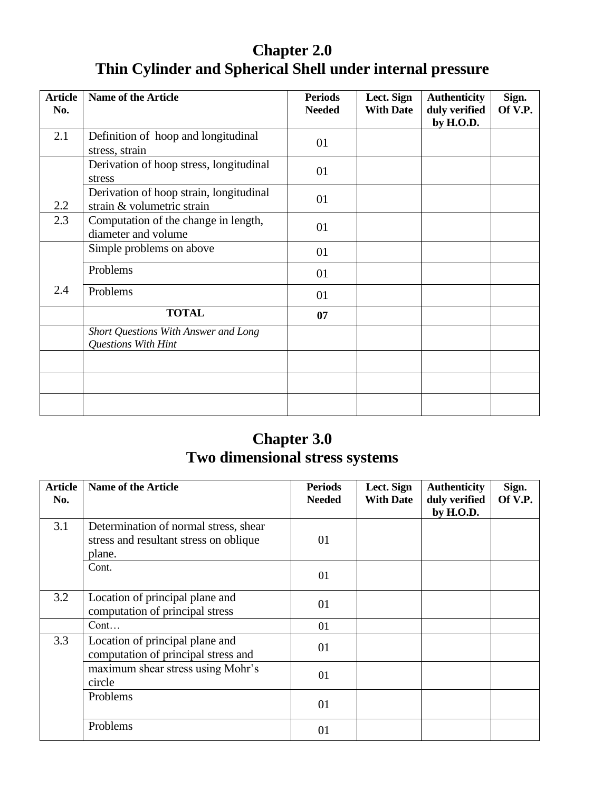# **Chapter 2.0 Thin Cylinder and Spherical Shell under internal pressure**

| <b>Article</b><br>No. | <b>Name of the Article</b>                                            | <b>Periods</b><br><b>Needed</b> | Lect. Sign<br><b>With Date</b> | <b>Authenticity</b><br>duly verified<br>by H.O.D. | Sign.<br>Of V.P. |
|-----------------------|-----------------------------------------------------------------------|---------------------------------|--------------------------------|---------------------------------------------------|------------------|
| 2.1                   | Definition of hoop and longitudinal<br>stress, strain                 | 01                              |                                |                                                   |                  |
|                       | Derivation of hoop stress, longitudinal<br>stress                     | 01                              |                                |                                                   |                  |
| 2.2                   | Derivation of hoop strain, longitudinal<br>strain & volumetric strain | 01                              |                                |                                                   |                  |
| 2.3                   | Computation of the change in length,<br>diameter and volume           | 01                              |                                |                                                   |                  |
|                       | Simple problems on above                                              | 01                              |                                |                                                   |                  |
|                       | Problems                                                              | 01                              |                                |                                                   |                  |
| 2.4                   | Problems                                                              | 01                              |                                |                                                   |                  |
|                       | <b>TOTAL</b>                                                          | 07                              |                                |                                                   |                  |
|                       | Short Questions With Answer and Long<br>Questions With Hint           |                                 |                                |                                                   |                  |
|                       |                                                                       |                                 |                                |                                                   |                  |
|                       |                                                                       |                                 |                                |                                                   |                  |
|                       |                                                                       |                                 |                                |                                                   |                  |

# **Chapter 3.0 Two dimensional stress systems**

| <b>Article</b><br>No. | <b>Name of the Article</b>                                                                | <b>Periods</b><br><b>Needed</b> | Lect. Sign<br><b>With Date</b> | <b>Authenticity</b><br>duly verified<br>by H.O.D. | Sign.<br>Of V.P. |
|-----------------------|-------------------------------------------------------------------------------------------|---------------------------------|--------------------------------|---------------------------------------------------|------------------|
| 3.1                   | Determination of normal stress, shear<br>stress and resultant stress on oblique<br>plane. | 01                              |                                |                                                   |                  |
|                       | Cont.                                                                                     | 01                              |                                |                                                   |                  |
| 3.2                   | Location of principal plane and<br>computation of principal stress                        | 01                              |                                |                                                   |                  |
|                       | Cont                                                                                      | 01                              |                                |                                                   |                  |
| 3.3                   | Location of principal plane and<br>computation of principal stress and                    | 01                              |                                |                                                   |                  |
|                       | maximum shear stress using Mohr's<br>circle                                               | 01                              |                                |                                                   |                  |
|                       | Problems                                                                                  | 01                              |                                |                                                   |                  |
|                       | Problems                                                                                  | 01                              |                                |                                                   |                  |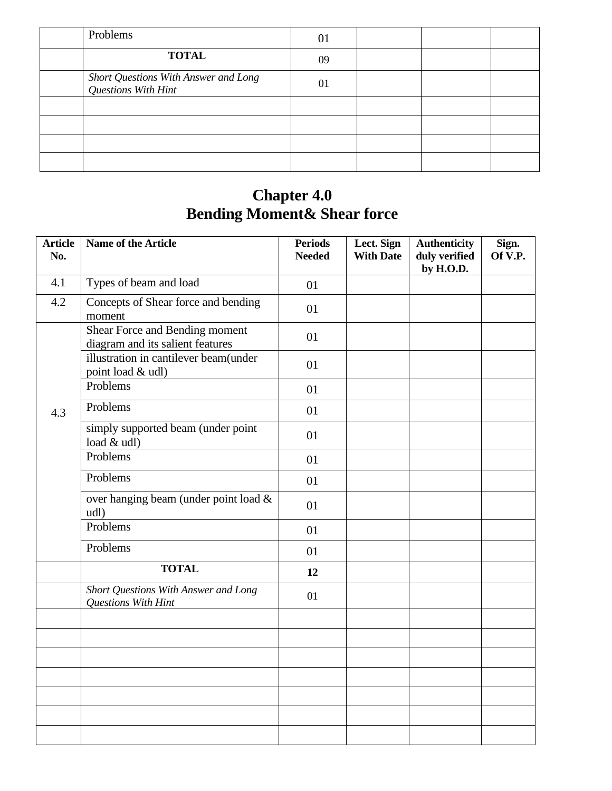| Problems                                                    | 01 |  |  |
|-------------------------------------------------------------|----|--|--|
| <b>TOTAL</b>                                                | 09 |  |  |
| Short Questions With Answer and Long<br>Questions With Hint | 01 |  |  |
|                                                             |    |  |  |
|                                                             |    |  |  |
|                                                             |    |  |  |
|                                                             |    |  |  |

#### **Chapter 4.0 Bending Moment& Shear force**

| <b>Article</b><br>No. | Name of the Article                                                | <b>Periods</b><br><b>Needed</b> | Lect. Sign<br><b>With Date</b> | <b>Authenticity</b><br>duly verified<br>by H.O.D. | Sign.<br>Of V.P. |
|-----------------------|--------------------------------------------------------------------|---------------------------------|--------------------------------|---------------------------------------------------|------------------|
| 4.1                   | Types of beam and load                                             | 01                              |                                |                                                   |                  |
| 4.2                   | Concepts of Shear force and bending<br>moment                      | 01                              |                                |                                                   |                  |
|                       | Shear Force and Bending moment<br>diagram and its salient features | 01                              |                                |                                                   |                  |
|                       | illustration in cantilever beam(under<br>point load & udl)         | 01                              |                                |                                                   |                  |
|                       | Problems                                                           | 01                              |                                |                                                   |                  |
| 4.3                   | Problems                                                           | 01                              |                                |                                                   |                  |
|                       | simply supported beam (under point<br>load & udl)                  | 01                              |                                |                                                   |                  |
|                       | Problems                                                           | 01                              |                                |                                                   |                  |
|                       | Problems                                                           | 01                              |                                |                                                   |                  |
|                       | over hanging beam (under point load &<br>udl)                      | 01                              |                                |                                                   |                  |
|                       | Problems                                                           | 01                              |                                |                                                   |                  |
|                       | Problems                                                           | 01                              |                                |                                                   |                  |
|                       | <b>TOTAL</b>                                                       | 12                              |                                |                                                   |                  |
|                       | Short Questions With Answer and Long<br>Questions With Hint        | 01                              |                                |                                                   |                  |
|                       |                                                                    |                                 |                                |                                                   |                  |
|                       |                                                                    |                                 |                                |                                                   |                  |
|                       |                                                                    |                                 |                                |                                                   |                  |
|                       |                                                                    |                                 |                                |                                                   |                  |
|                       |                                                                    |                                 |                                |                                                   |                  |
|                       |                                                                    |                                 |                                |                                                   |                  |
|                       |                                                                    |                                 |                                |                                                   |                  |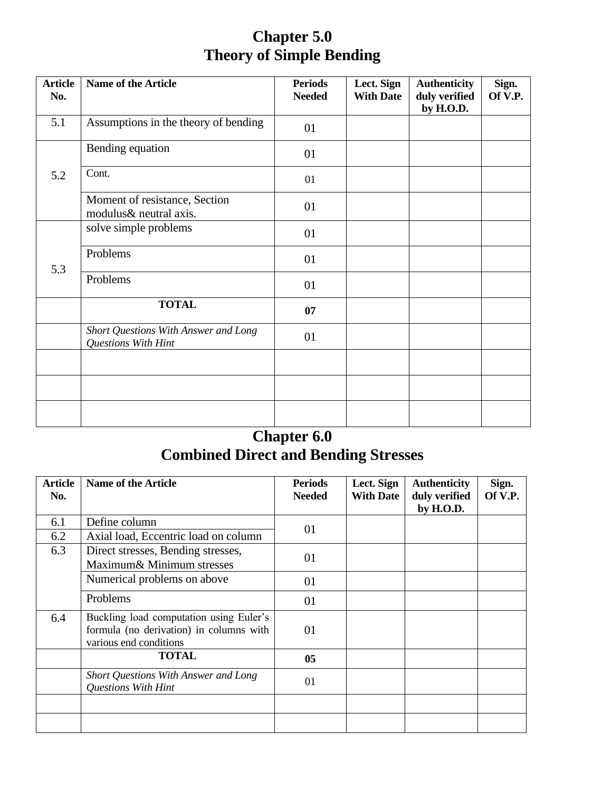# **Chapter 5.0 Theory of Simple Bending**

| <b>Article</b><br>No. | <b>Name of the Article</b>                                  | <b>Periods</b><br><b>Needed</b> | Lect. Sign<br><b>With Date</b> | <b>Authenticity</b><br>duly verified<br>by H.O.D. | Sign.<br>Of V.P. |
|-----------------------|-------------------------------------------------------------|---------------------------------|--------------------------------|---------------------------------------------------|------------------|
| 5.1                   | Assumptions in the theory of bending                        | 01                              |                                |                                                   |                  |
|                       | Bending equation                                            | 01                              |                                |                                                   |                  |
| 5.2                   | Cont.                                                       | 01                              |                                |                                                   |                  |
|                       | Moment of resistance, Section<br>modulus& neutral axis.     | 01                              |                                |                                                   |                  |
|                       | solve simple problems                                       | 01                              |                                |                                                   |                  |
| 5.3                   | Problems                                                    | 01                              |                                |                                                   |                  |
|                       | Problems                                                    | 01                              |                                |                                                   |                  |
|                       | <b>TOTAL</b>                                                | 07                              |                                |                                                   |                  |
|                       | Short Questions With Answer and Long<br>Questions With Hint | 01                              |                                |                                                   |                  |
|                       |                                                             |                                 |                                |                                                   |                  |
|                       |                                                             |                                 |                                |                                                   |                  |
|                       |                                                             |                                 |                                |                                                   |                  |

#### **Chapter 6.0 Combined Direct and Bending Stresses**

| <b>Article</b><br>No. | <b>Name of the Article</b>                                                                                   | <b>Periods</b><br><b>Needed</b> | Lect. Sign<br><b>With Date</b> | <b>Authenticity</b><br>duly verified<br>by H.O.D. | Sign.<br>Of V.P. |
|-----------------------|--------------------------------------------------------------------------------------------------------------|---------------------------------|--------------------------------|---------------------------------------------------|------------------|
| 6.1                   | Define column                                                                                                | 01                              |                                |                                                   |                  |
| 6.2                   | Axial load, Eccentric load on column                                                                         |                                 |                                |                                                   |                  |
| 6.3                   | Direct stresses, Bending stresses,<br>Maximum& Minimum stresses                                              | 01                              |                                |                                                   |                  |
|                       | Numerical problems on above                                                                                  | 01                              |                                |                                                   |                  |
|                       | Problems                                                                                                     | 01                              |                                |                                                   |                  |
| 6.4                   | Buckling load computation using Euler's<br>formula (no derivation) in columns with<br>various end conditions | 01                              |                                |                                                   |                  |
|                       | <b>TOTAL</b>                                                                                                 | 05                              |                                |                                                   |                  |
|                       | Short Questions With Answer and Long<br><b>Questions With Hint</b>                                           | 01                              |                                |                                                   |                  |
|                       |                                                                                                              |                                 |                                |                                                   |                  |
|                       |                                                                                                              |                                 |                                |                                                   |                  |